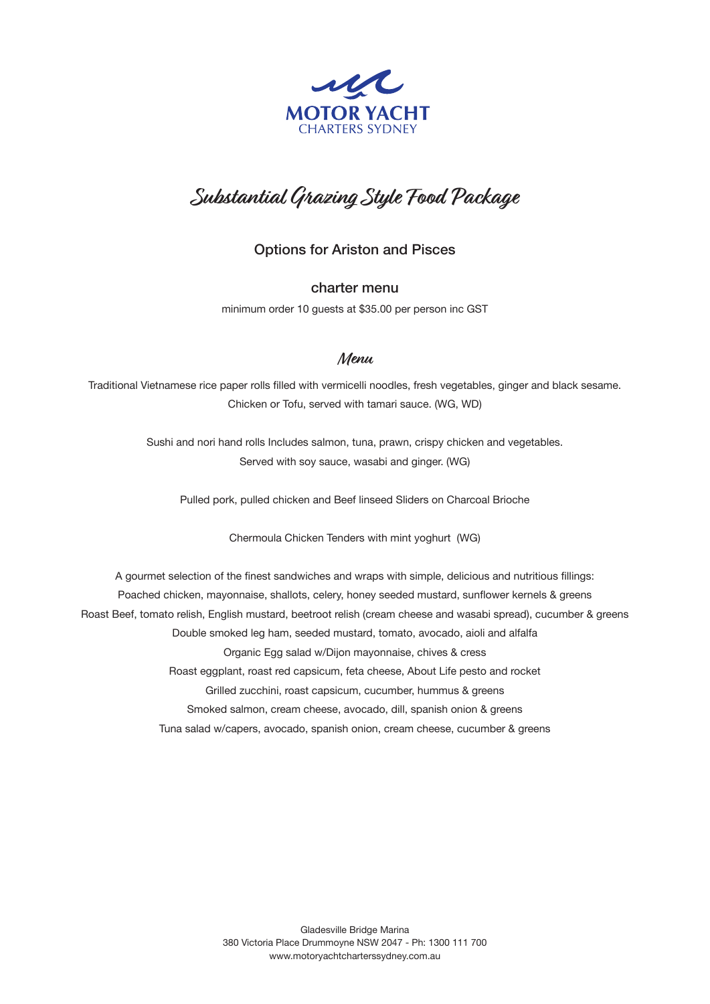

## **Substantial Grazing Style Food Package**

Options for Ariston and Pisces

charter menu

minimum order 10 guests at \$35.00 per person inc GST

## **Menu**

Traditional Vietnamese rice paper rolls filled with vermicelli noodles, fresh vegetables, ginger and black sesame. Chicken or Tofu, served with tamari sauce. (WG, WD)

> Sushi and nori hand rolls Includes salmon, tuna, prawn, crispy chicken and vegetables. Served with soy sauce, wasabi and ginger. (WG)

Pulled pork, pulled chicken and Beef linseed Sliders on Charcoal Brioche

Chermoula Chicken Tenders with mint yoghurt (WG)

A gourmet selection of the finest sandwiches and wraps with simple, delicious and nutritious fillings: Poached chicken, mayonnaise, shallots, celery, honey seeded mustard, sunflower kernels & greens Roast Beef, tomato relish, English mustard, beetroot relish (cream cheese and wasabi spread), cucumber & greens Double smoked leg ham, seeded mustard, tomato, avocado, aioli and alfalfa Organic Egg salad w/Dijon mayonnaise, chives & cress Roast eggplant, roast red capsicum, feta cheese, About Life pesto and rocket Grilled zucchini, roast capsicum, cucumber, hummus & greens Smoked salmon, cream cheese, avocado, dill, spanish onion & greens Tuna salad w/capers, avocado, spanish onion, cream cheese, cucumber & greens

> Gladesville Bridge Marina 380 Victoria Place Drummoyne NSW 2047 - Ph: 1300 111 700 www.motoryachtcharterssydney.com.au